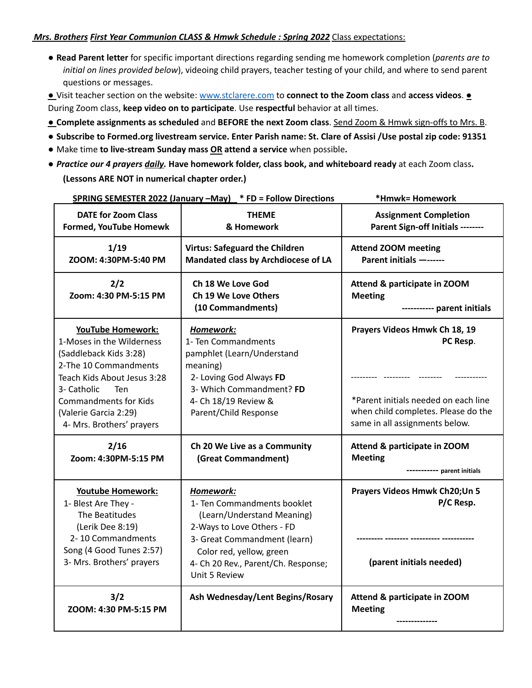## *Mrs. Brothers First Year Communion CLASS & Hmwk Schedule : Spring 2022* Class expectations:

● **Read Parent letter** for specific important directions regarding sending me homework completion (*parents are to initial on lines provided below*), videoing child prayers, teacher testing of your child, and where to send parent questions or messages.

● Visit teacher section on the website: www.stclarere.com to **connect to the Zoom class** and **access videos**. ● During Zoom class, **keep video on to participate**. Use **respectful** behavior at all times.

- **Complete assignments as scheduled** and **BEFORE the next Zoom class**. Send Zoom & Hmwk sign-offs to Mrs. B.
- Subscribe to Formed.org livestream service. Enter Parish name: St. Clare of Assisi /Use postal zip code: 91351
- *●* Make time **to live-stream Sunday mass OR attend a service** when possible**.**
- *Practice our 4 prayers daily.* **Have homework folder, class book, and whiteboard ready** at each Zoom class**. (Lessons ARE NOT in numerical chapter order.)**

|                                                                                                                                                                                                                                                            | SPRING SEMESTER 2022 (January -May) * FD = Follow Directions                                                                                                                                                             | *Hmwk= Homework                                                                                                                                            |
|------------------------------------------------------------------------------------------------------------------------------------------------------------------------------------------------------------------------------------------------------------|--------------------------------------------------------------------------------------------------------------------------------------------------------------------------------------------------------------------------|------------------------------------------------------------------------------------------------------------------------------------------------------------|
| <b>DATE for Zoom Class</b><br><b>Formed, YouTube Homewk</b>                                                                                                                                                                                                | <b>THEME</b><br>& Homework                                                                                                                                                                                               | <b>Assignment Completion</b><br>Parent Sign-off Initials --------                                                                                          |
| 1/19<br>ZOOM: 4:30PM-5:40 PM                                                                                                                                                                                                                               | <b>Virtus: Safeguard the Children</b><br>Mandated class by Archdiocese of LA                                                                                                                                             | <b>Attend ZOOM meeting</b><br>Parent initials -------                                                                                                      |
| 2/2<br>Zoom: 4:30 PM-5:15 PM                                                                                                                                                                                                                               | <b>Ch 18 We Love God</b><br>Ch 19 We Love Others<br>(10 Commandments)                                                                                                                                                    | Attend & participate in ZOOM<br><b>Meeting</b><br>----------- parent initials                                                                              |
| <b>YouTube Homework:</b><br>1-Moses in the Wilderness<br>(Saddleback Kids 3:28)<br>2-The 10 Commandments<br>Teach Kids About Jesus 3:28<br>3- Catholic<br><b>Ten</b><br><b>Commandments for Kids</b><br>(Valerie Garcia 2:29)<br>4- Mrs. Brothers' prayers | Homework:<br>1- Ten Commandments<br>pamphlet (Learn/Understand<br>meaning)<br>2- Loving God Always FD<br>3- Which Commandment? FD<br>4- Ch 18/19 Review &<br>Parent/Child Response                                       | Prayers Videos Hmwk Ch 18, 19<br>PC Resp.<br>*Parent initials needed on each line<br>when child completes. Please do the<br>same in all assignments below. |
| 2/16<br>Zoom: 4:30PM-5:15 PM                                                                                                                                                                                                                               | Ch 20 We Live as a Community<br>(Great Commandment)                                                                                                                                                                      | Attend & participate in ZOOM<br><b>Meeting</b><br>---------- parent initials                                                                               |
| <b>Youtube Homework:</b><br>1- Blest Are They -<br>The Beatitudes<br>(Lerik Dee 8:19)<br>2-10 Commandments<br>Song (4 Good Tunes 2:57)<br>3- Mrs. Brothers' prayers                                                                                        | Homework:<br>1- Ten Commandments booklet<br>(Learn/Understand Meaning)<br>2-Ways to Love Others - FD<br>3- Great Commandment (learn)<br>Color red, yellow, green<br>4- Ch 20 Rev., Parent/Ch. Response;<br>Unit 5 Review | Prayers Videos Hmwk Ch20; Un 5<br>P/C Resp.<br>(parent initials needed)                                                                                    |
| 3/2<br>ZOOM: 4:30 PM-5:15 PM                                                                                                                                                                                                                               | Ash Wednesday/Lent Begins/Rosary                                                                                                                                                                                         | Attend & participate in ZOOM<br><b>Meeting</b>                                                                                                             |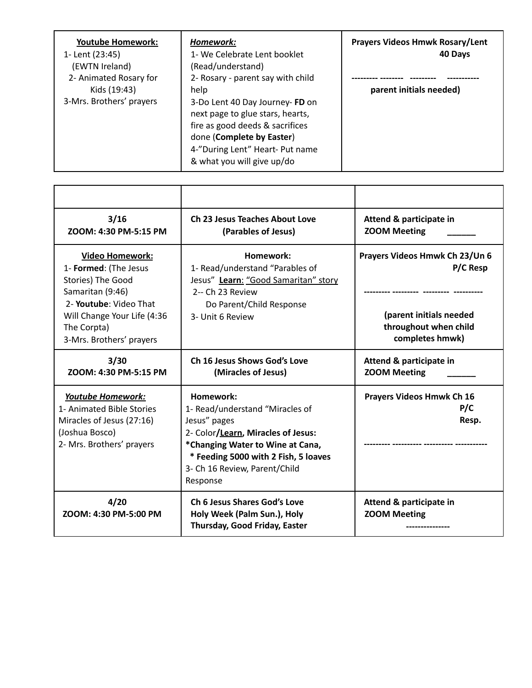| <b>Youtube Homework:</b><br>1- Lent (23:45)<br>(EWTN Ireland)<br>2- Animated Rosary for<br>Kids (19:43)<br>3-Mrs. Brothers' prayers | Homework:<br>1- We Celebrate Lent booklet<br>(Read/understand)<br>2- Rosary - parent say with child<br>help<br>3-Do Lent 40 Day Journey-FD on<br>next page to glue stars, hearts,<br>fire as good deeds & sacrifices | <b>Prayers Videos Hmwk Rosary/Lent</b><br>40 Days<br>parent initials needed) |
|-------------------------------------------------------------------------------------------------------------------------------------|----------------------------------------------------------------------------------------------------------------------------------------------------------------------------------------------------------------------|------------------------------------------------------------------------------|
|                                                                                                                                     | done (Complete by Easter)<br>4-"During Lent" Heart- Put name<br>& what you will give up/do                                                                                                                           |                                                                              |

| 3/16<br>ZOOM: 4:30 PM-5:15 PM                                                                                                                                                                       | <b>Ch 23 Jesus Teaches About Love</b><br>(Parables of Jesus)                                                                                                                                                                | Attend & participate in<br><b>ZOOM Meeting</b>                                                                    |
|-----------------------------------------------------------------------------------------------------------------------------------------------------------------------------------------------------|-----------------------------------------------------------------------------------------------------------------------------------------------------------------------------------------------------------------------------|-------------------------------------------------------------------------------------------------------------------|
| <b>Video Homework:</b><br>1- Formed: (The Jesus<br><b>Stories) The Good</b><br>Samaritan (9:46)<br>2- Youtube: Video That<br>Will Change Your Life (4:36<br>The Corpta)<br>3-Mrs. Brothers' prayers | Homework:<br>1- Read/understand "Parables of<br>Jesus" Learn: "Good Samaritan" story<br>2-- Ch 23 Review<br>Do Parent/Child Response<br>3- Unit 6 Review                                                                    | Prayers Videos Hmwk Ch 23/Un 6<br>P/C Resp<br>(parent initials needed<br>throughout when child<br>completes hmwk) |
| 3/30<br>ZOOM: 4:30 PM-5:15 PM                                                                                                                                                                       | Ch 16 Jesus Shows God's Love<br>(Miracles of Jesus)                                                                                                                                                                         | Attend & participate in<br><b>ZOOM Meeting</b>                                                                    |
| Youtube Homework:<br>1- Animated Bible Stories<br>Miracles of Jesus (27:16)<br>(Joshua Bosco)<br>2- Mrs. Brothers' prayers                                                                          | Homework:<br>1- Read/understand "Miracles of<br>Jesus" pages<br>2- Color/Learn, Miracles of Jesus:<br>*Changing Water to Wine at Cana,<br>* Feeding 5000 with 2 Fish, 5 loaves<br>3- Ch 16 Review, Parent/Child<br>Response | <b>Prayers Videos Hmwk Ch 16</b><br>P/C<br>Resp.                                                                  |
| 4/20<br>ZOOM: 4:30 PM-5:00 PM                                                                                                                                                                       | <b>Ch 6 Jesus Shares God's Love</b><br>Holy Week (Palm Sun.), Holy<br>Thursday, Good Friday, Easter                                                                                                                         | Attend & participate in<br><b>ZOOM Meeting</b>                                                                    |